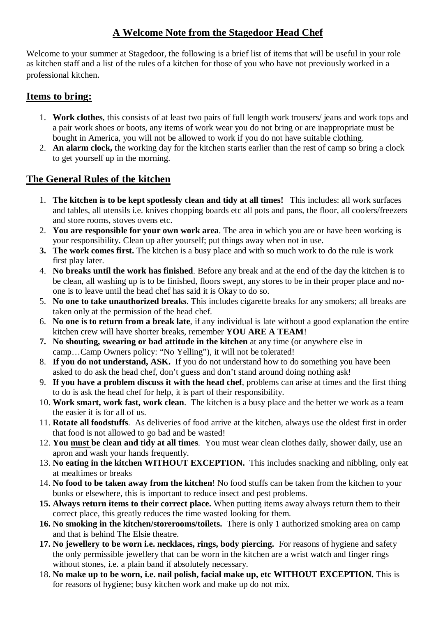## **A Welcome Note from the Stagedoor Head Chef**

Welcome to your summer at Stagedoor, the following is a brief list of items that will be useful in your role as kitchen staff and a list of the rules of a kitchen for those of you who have not previously worked in a professional kitchen.

## **Items to bring:**

- 1. **Work clothes**, this consists of at least two pairs of full length work trousers/ jeans and work tops and a pair work shoes or boots, any items of work wear you do not bring or are inappropriate must be bought in America, you will not be allowed to work if you do not have suitable clothing.
- 2. **An alarm clock,** the working day for the kitchen starts earlier than the rest of camp so bring a clock to get yourself up in the morning.

## **The General Rules of the kitchen**

- 1. **The kitchen is to be kept spotlessly clean and tidy at all times!** This includes: all work surfaces and tables, all utensils i.e. knives chopping boards etc all pots and pans, the floor, all coolers/freezers and store rooms, stoves ovens etc.
- 2. **You are responsible for your own work area**. The area in which you are or have been working is your responsibility. Clean up after yourself; put things away when not in use.
- **3. The work comes first.** The kitchen is a busy place and with so much work to do the rule is work first play later.
- 4. **No breaks until the work has finished**. Before any break and at the end of the day the kitchen is to be clean, all washing up is to be finished, floors swept, any stores to be in their proper place and noone is to leave until the head chef has said it is Okay to do so.
- 5. **No one to take unauthorized breaks**. This includes cigarette breaks for any smokers; all breaks are taken only at the permission of the head chef.
- 6. **No one is to return from a break late**, if any individual is late without a good explanation the entire kitchen crew will have shorter breaks, remember **YOU ARE A TEAM**!
- **7. No shouting, swearing or bad attitude in the kitchen** at any time (or anywhere else in camp…Camp Owners policy: "No Yelling"), it will not be tolerated!
- 8. **If you do not understand, ASK.** If you do not understand how to do something you have been asked to do ask the head chef, don't guess and don't stand around doing nothing ask!
- 9. **If you have a problem discuss it with the head chef**, problems can arise at times and the first thing to do is ask the head chef for help, it is part of their responsibility.
- 10. **Work smart, work fast, work clean**. The kitchen is a busy place and the better we work as a team the easier it is for all of us.
- 11. **Rotate all foodstuffs**. As deliveries of food arrive at the kitchen, always use the oldest first in order that food is not allowed to go bad and be wasted!
- 12. **You must be clean and tidy at all times**. You must wear clean clothes daily, shower daily, use an apron and wash your hands frequently.
- 13. **No eating in the kitchen WITHOUT EXCEPTION.** This includes snacking and nibbling, only eat at mealtimes or breaks
- 14. **No food to be taken away from the kitchen**! No food stuffs can be taken from the kitchen to your bunks or elsewhere, this is important to reduce insect and pest problems.
- **15. Always return items to their correct place.** When putting items away always return them to their correct place, this greatly reduces the time wasted looking for them.
- **16. No smoking in the kitchen/storerooms/toilets.** There is only 1 authorized smoking area on camp and that is behind The Elsie theatre.
- **17. No jewellery to be worn i.e. necklaces, rings, body piercing.** For reasons of hygiene and safety the only permissible jewellery that can be worn in the kitchen are a wrist watch and finger rings without stones, i.e. a plain band if absolutely necessary.
- 18. **No make up to be worn, i.e. nail polish, facial make up, etc WITHOUT EXCEPTION.** This is for reasons of hygiene; busy kitchen work and make up do not mix.